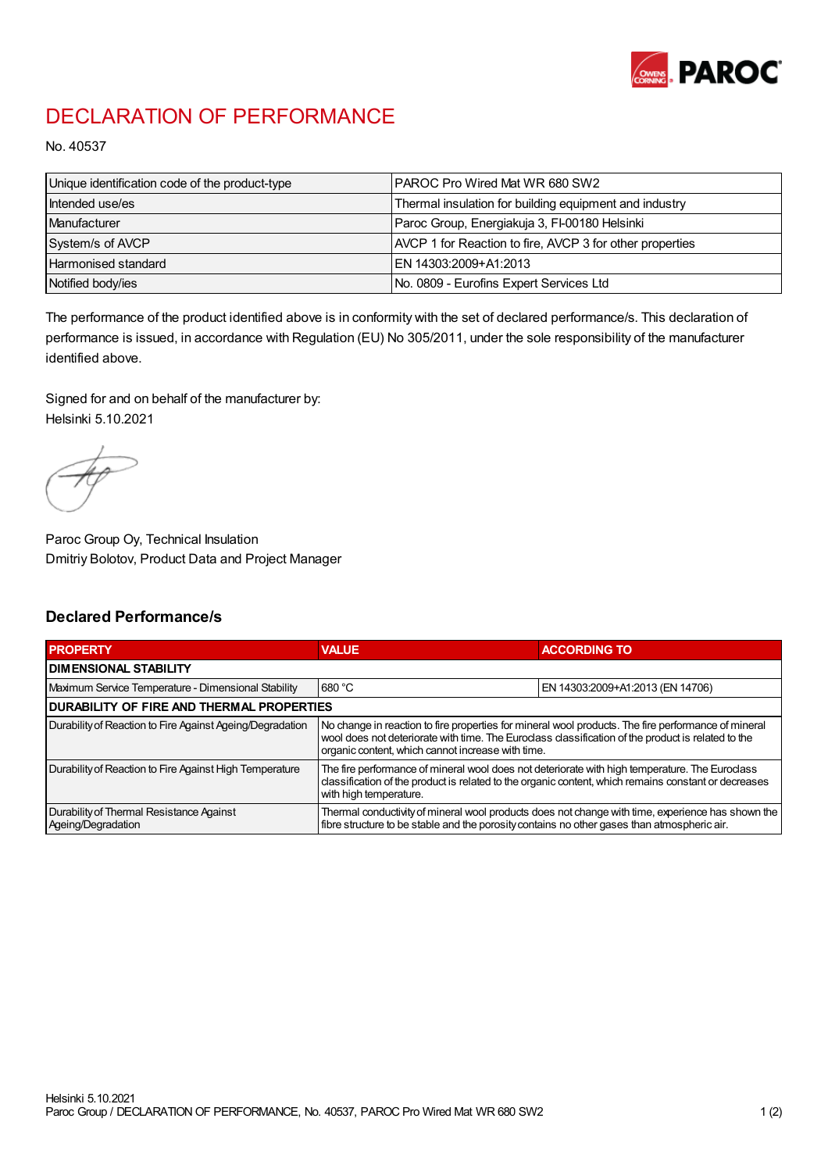

## DECLARATION OF PERFORMANCE

No. 40537

| Unique identification code of the product-type | <b>PAROC Pro Wired Mat WR 680 SW2</b>                    |
|------------------------------------------------|----------------------------------------------------------|
| Intended use/es                                | Thermal insulation for building equipment and industry   |
| Manufacturer                                   | Paroc Group, Energiakuja 3, FI-00180 Helsinki            |
| System/s of AVCP                               | AVCP 1 for Reaction to fire, AVCP 3 for other properties |
| Harmonised standard                            | IEN 14303:2009+A1:2013                                   |
| Notified body/ies                              | No. 0809 - Eurofins Expert Services Ltd                  |

The performance of the product identified above is in conformity with the set of declared performance/s. This declaration of performance is issued, in accordance with Regulation (EU) No 305/2011, under the sole responsibility of the manufacturer identified above.

Signed for and on behalf of the manufacturer by: Helsinki 5.10.2021

Paroc Group Oy, Technical Insulation Dmitriy Bolotov, Product Data and Project Manager

## Declared Performance/s

| <b>PROPERTY</b>                                                | <b>VALUE</b>                                                                                                                                                                                                                                                   | <b>ACCORDING TO</b>              |  |
|----------------------------------------------------------------|----------------------------------------------------------------------------------------------------------------------------------------------------------------------------------------------------------------------------------------------------------------|----------------------------------|--|
| <b>DIMENSIONAL STABILITY</b>                                   |                                                                                                                                                                                                                                                                |                                  |  |
| Maximum Service Temperature - Dimensional Stability            | 680 °C                                                                                                                                                                                                                                                         | EN 14303:2009+A1:2013 (EN 14706) |  |
| <b>DURABILITY OF FIRE AND THERMAL PROPERTIES</b>               |                                                                                                                                                                                                                                                                |                                  |  |
| Durability of Reaction to Fire Against Ageing/Degradation      | No change in reaction to fire properties for mineral wool products. The fire performance of mineral<br>wool does not deteriorate with time. The Euroclass classification of the product is related to the<br>organic content, which cannot increase with time. |                                  |  |
| Durability of Reaction to Fire Against High Temperature        | The fire performance of mineral wool does not deteriorate with high temperature. The Euroclass<br>classification of the product is related to the organic content, which remains constant or decreases<br>with high temperature.                               |                                  |  |
| Durability of Thermal Resistance Against<br>Ageing/Degradation | Thermal conductivity of mineral wool products does not change with time, experience has shown the<br>fibre structure to be stable and the porosity contains no other gases than atmospheric air.                                                               |                                  |  |